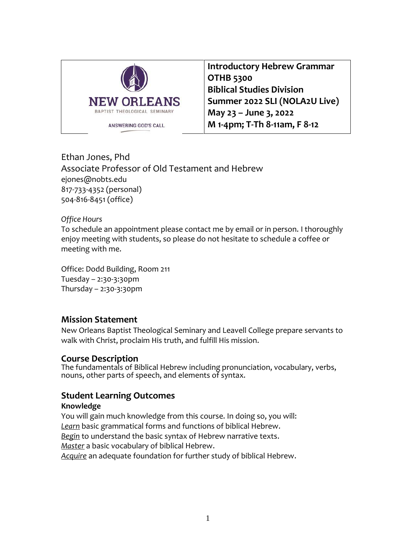

**Introductory Hebrew Grammar OTHB 5300 Biblical Studies Division Summer 2022 SLI (NOLA2U Live) May 23 – June 3, 2022 M 1-4pm; T-Th 8-11am, F 8-12**

Ethan Jones, Phd Associate Professor of Old Testament and Hebrew ejones@nobts.edu 817-733-4352 (personal) 504-816-8451 (office)

#### *Office Hours*

To schedule an appointment please contact me by email or in person. I thoroughly enjoy meeting with students, so please do not hesitate to schedule a coffee or meeting with me.

Office: Dodd Building, Room 211 Tuesday – 2:30-3:30pm Thursday – 2:30-3:30pm

### **Mission Statement**

New Orleans Baptist Theological Seminary and Leavell College prepare servants to walk with Christ, proclaim His truth, and fulfill His mission.

#### **Course Description**

The fundamentals of Biblical Hebrew including pronunciation, vocabulary, verbs, nouns, other parts of speech, and elements of syntax.

### **Student Learning Outcomes**

#### **Knowledge**

You will gain much knowledge from this course. In doing so, you will: *Learn* basic grammatical forms and functions of biblical Hebrew. *Begin* to understand the basic syntax of Hebrew narrative texts. *Master* a basic vocabulary of biblical Hebrew. *Acquire* an adequate foundation for further study of biblical Hebrew.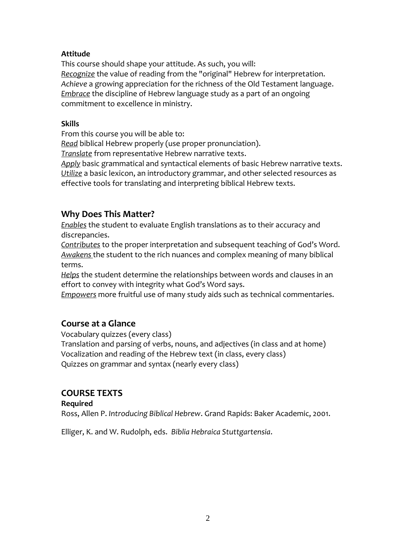#### **Attitude**

This course should shape your attitude. As such, you will: *Recognize* the value of reading from the "original" Hebrew for interpretation. *Achieve* a growing appreciation for the richness of the Old Testament language. *Embrace* the discipline of Hebrew language study as a part of an ongoing commitment to excellence in ministry.

#### **Skills**

From this course you will be able to:

*Read* biblical Hebrew properly (use proper pronunciation).

*Translate* from representative Hebrew narrative texts.

*Apply* basic grammatical and syntactical elements of basic Hebrew narrative texts. *Utilize* a basic lexicon, an introductory grammar, and other selected resources as effective tools for translating and interpreting biblical Hebrew texts.

## **Why Does This Matter?**

*Enables* the student to evaluate English translations as to their accuracy and discrepancies.

*Contributes* to the proper interpretation and subsequent teaching of God's Word. *Awakens* the student to the rich nuances and complex meaning of many biblical terms.

*Helps* the student determine the relationships between words and clauses in an effort to convey with integrity what God's Word says.

*Empowers* more fruitful use of many study aids such as technical commentaries.

## **Course at a Glance**

Vocabulary quizzes (every class) Translation and parsing of verbs, nouns, and adjectives (in class and at home) Vocalization and reading of the Hebrew text (in class, every class) Quizzes on grammar and syntax (nearly every class)

## **COURSE TEXTS**

#### **Required**

Ross, Allen P. *Introducing Biblical Hebrew*. Grand Rapids: Baker Academic, 2001.

Elliger, K. and W. Rudolph, eds. *Biblia Hebraica Stuttgartensia*.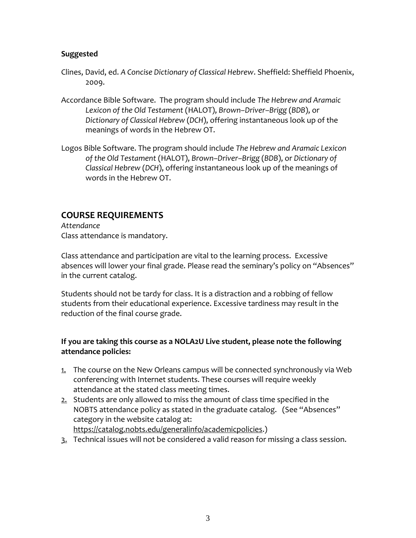#### **Suggested**

- Clines, David, ed. *A Concise Dictionary of Classical Hebrew*. Sheffield: Sheffield Phoenix, 2009.
- Accordance Bible Software. The program should include *The Hebrew and Aramaic Lexicon of the Old Testament* (HALOT), *Brown–Driver–Brigg* (*BDB*), or *Dictionary of Classical Hebrew* (*DCH*), offering instantaneous look up of the meanings of words in the Hebrew OT.
- Logos Bible Software. The program should include *The Hebrew and Aramaic Lexicon of the Old Testament* (HALOT), *Brown–Driver–Brigg* (*BDB*), or *Dictionary of Classical Hebrew* (*DCH*), offering instantaneous look up of the meanings of words in the Hebrew OT.

## **COURSE REQUIREMENTS**

*Attendance* Class attendance is mandatory.

Class attendance and participation are vital to the learning process. Excessive absences will lower your final grade. Please read the seminary's policy on "Absences" in the current catalog.

Students should not be tardy for class. It is a distraction and a robbing of fellow students from their educational experience. Excessive tardiness may result in the reduction of the final course grade.

### **If you are taking this course as a NOLA2U Live student, please note the following attendance policies:**

- 1. The course on the New Orleans campus will be connected synchronously via Web conferencing with Internet students. These courses will require weekly attendance at the stated class meeting times.
- $2.$  Students are only allowed to miss the amount of class time specified in the NOBTS attendance policy as stated in the graduate catalog. (See "Absences" category in the website catalog at: [https://catalog.nobts.edu/generalinfo/academicpolicies.](https://catalog.nobts.edu/generalinfo/academicpolicies))
- 3. Technical issues will not be considered a valid reason for missing a class session.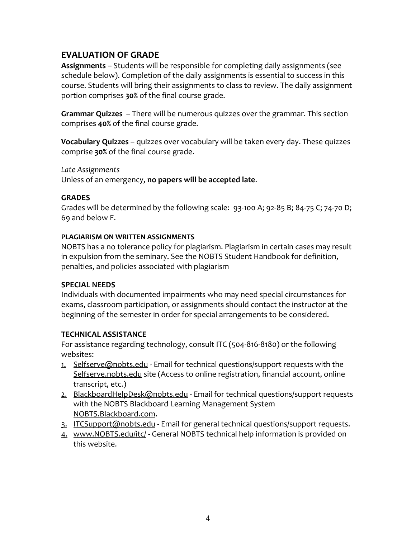# **EVALUATION OF GRADE**

**Assignments** – Students will be responsible for completing daily assignments (see schedule below). Completion of the daily assignments is essential to success in this course. Students will bring their assignments to class to review. The daily assignment portion comprises **30%** of the final course grade.

**Grammar Quizzes** – There will be numerous quizzes over the grammar. This section comprises **40%** of the final course grade.

**Vocabulary Quizzes** – quizzes over vocabulary will be taken every day. These quizzes comprise **30%** of the final course grade.

*Late Assignments*

Unless of an emergency, **no papers will be accepted late**.

### **GRADES**

Grades will be determined by the following scale: 93-100 A; 92-85 B; 84-75 C; 74-70 D; 69 and below F.

#### **PLAGIARISM ON WRITTEN ASSIGNMENTS**

NOBTS has a no tolerance policy for plagiarism. Plagiarism in certain cases may result in expulsion from the seminary. See the NOBTS Student Handbook for definition, penalties, and policies associated with plagiarism

### **SPECIAL NEEDS**

Individuals with documented impairments who may need special circumstances for exams, classroom participation, or assignments should contact the instructor at the beginning of the semester in order for special arrangements to be considered.

### **TECHNICAL ASSISTANCE**

For assistance regarding technology, consult ITC (504-816-8180) or the following websites:

- 1. Selfserve@nobts.edu Email for technical questions/support requests with the Selfserve.nobts.edu site (Access to online registration, financial account, online transcript, etc.)
- 2. BlackboardHelpDesk@nobts.edu Email for technical questions/support requests with the NOBTS Blackboard Learning Management System NOBTS.Blackboard.com.
- 3. ITCSupport@nobts.edu Email for general technical questions/support requests.
- 4. www.NOBTS.edu/itc/ General NOBTS technical help information is provided on this website.